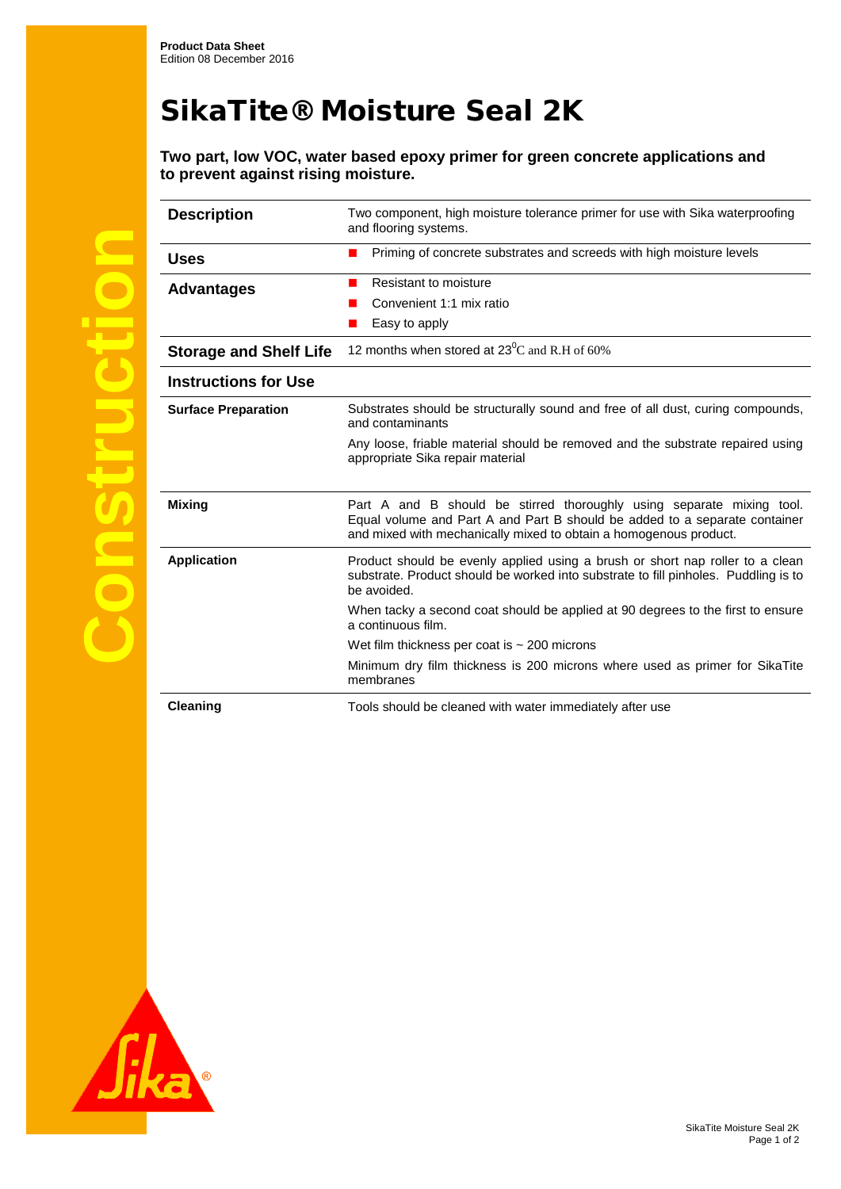## SikaTite® Moisture Seal 2K

**Two part, low VOC, water based epoxy primer for green concrete applications and to prevent against rising moisture.** 

| <b>Description</b>            | Two component, high moisture tolerance primer for use with Sika waterproofing<br>and flooring systems.                                                                                                                   |
|-------------------------------|--------------------------------------------------------------------------------------------------------------------------------------------------------------------------------------------------------------------------|
| <b>Uses</b>                   | Priming of concrete substrates and screeds with high moisture levels                                                                                                                                                     |
| <b>Advantages</b>             | Resistant to moisture                                                                                                                                                                                                    |
|                               | Convenient 1:1 mix ratio                                                                                                                                                                                                 |
|                               | Easy to apply                                                                                                                                                                                                            |
| <b>Storage and Shelf Life</b> | 12 months when stored at $23^{\circ}$ C and R.H of 60%                                                                                                                                                                   |
| <b>Instructions for Use</b>   |                                                                                                                                                                                                                          |
| <b>Surface Preparation</b>    | Substrates should be structurally sound and free of all dust, curing compounds,<br>and contaminants                                                                                                                      |
|                               | Any loose, friable material should be removed and the substrate repaired using<br>appropriate Sika repair material                                                                                                       |
| <b>Mixing</b>                 | Part A and B should be stirred thoroughly using separate mixing tool.<br>Equal volume and Part A and Part B should be added to a separate container<br>and mixed with mechanically mixed to obtain a homogenous product. |
| <b>Application</b>            | Product should be evenly applied using a brush or short nap roller to a clean<br>substrate. Product should be worked into substrate to fill pinholes. Puddling is to<br>be avoided.                                      |
|                               | When tacky a second coat should be applied at 90 degrees to the first to ensure<br>a continuous film.                                                                                                                    |
|                               | Wet film thickness per coat is $\sim$ 200 microns                                                                                                                                                                        |
|                               | Minimum dry film thickness is 200 microns where used as primer for SikaTite<br>membranes                                                                                                                                 |
| <b>Cleaning</b>               | Tools should be cleaned with water immediately after use                                                                                                                                                                 |